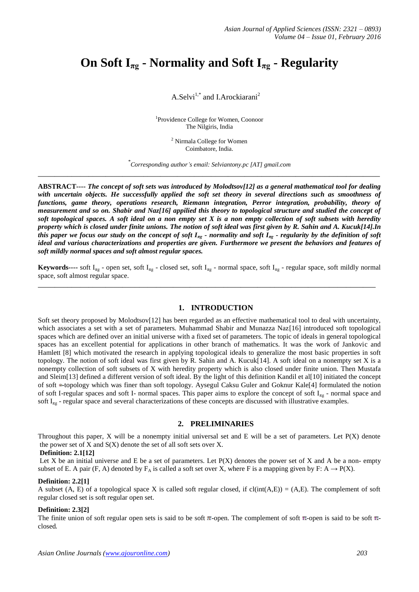# **On Soft**  $I_{\pi g}$  **- Normality and Soft**  $I_{\pi g}$  **- Regularity**

A.Selvi<sup>1,\*</sup> and I.Arockiarani<sup>2</sup>

1 Providence College for Women, Coonoor The Nilgiris, India

> <sup>2</sup> Nirmala College for Women Coimbatore, India.

\* *Corresponding author's email: Selviantony.pc [AT] gmail.com* **\_\_\_\_\_\_\_\_\_\_\_\_\_\_\_\_\_\_\_\_\_\_\_\_\_\_\_\_\_\_\_\_\_\_\_\_\_\_\_\_\_\_\_\_\_\_\_\_\_\_\_\_\_\_\_\_\_\_\_\_\_\_\_\_\_\_\_\_\_\_\_\_\_\_\_\_\_\_\_\_\_**

**ABSTRACT----** *The concept of soft sets was introduced by Molodtsov[12] as a general mathematical tool for dealing with uncertain objects. He successfully applied the soft set theory in several directions such as smoothness of functions, game theory, operations research, Riemann integration, Perror integration, probability, theory of measurement and so on. Shabir and Naz[16] appilied this theory to topological structure and studied the concept of soft topological spaces. A soft ideal on a non empty set X is a non empty collection of soft subsets with heredity property which is closed under finite unions. The notion of soft ideal was first given by R. Sahin and A. Kucuk[14].In this paper we focus our study on the concept of soft Iπg - normality and soft Iπg - regularity by the definition of soft ideal and various characterizations and properties are given. Furthermore we present the behaviors and features of soft mildly normal spaces and soft almost regular spaces.*

**Keywords----** soft I<sub>πg</sub> - open set, soft I<sub>πg</sub> - closed set, soft I<sub>πg</sub> - normal space, soft I<sub>πg</sub> - regular space, soft mildly normal space, soft almost regular space.

**\_\_\_\_\_\_\_\_\_\_\_\_\_\_\_\_\_\_\_\_\_\_\_\_\_\_\_\_\_\_\_\_\_\_\_\_\_\_\_\_\_\_\_\_\_\_\_\_\_\_\_\_\_\_\_\_\_\_\_\_\_\_\_\_\_\_\_\_\_\_\_\_\_\_\_\_\_\_\_\_**

## **1. INTRODUCTION**

Soft set theory proposed by Molodtsov[12] has been regarded as an effective mathematical tool to deal with uncertainty, which associates a set with a set of parameters. Muhammad Shabir and Munazza Naz[16] introduced soft topological spaces which are defined over an initial universe with a fixed set of parameters. The topic of ideals in general topological spaces has an excellent potential for applications in other branch of mathematics. It was the work of Jankovic and Hamlett [8] which motivated the research in applying topological ideals to generalize the most basic properties in soft topology. The notion of soft ideal was first given by R. Sahin and A. Kucuk[14]. A soft ideal on a nonempty set X is a nonempty collection of soft subsets of X with heredity property which is also closed under finite union. Then Mustafa and Sleim[13] defined a different version of soft ideal. By the light of this definition Kandil et al[10] initiated the concept of soft \*-topology which was finer than soft topology. Aysegul Caksu Guler and Goknur Kale[4] formulated the notion of soft I-regular spaces and soft I- normal spaces. This paper aims to explore the concept of soft  $I_{\pi g}$  - normal space and soft  $I_{\pi g}$  - regular space and several characterizations of these concepts are discussed with illustrative examples.

#### **2. PRELIMINARIES**

Throughout this paper,  $X$  will be a nonempty initial universal set and  $E$  will be a set of parameters. Let  $P(X)$  denote the power set of  $X$  and  $S(X)$  denote the set of all soft sets over  $X$ .

#### **Definition: 2.1[12]**

Let X be an initial universe and E be a set of parameters. Let  $P(X)$  denotes the power set of X and A be a non- empty subset of E. A pair (F, A) denoted by  $F_A$  is called a soft set over X, where F is a mapping given by F: A  $\rightarrow$  P(X).

#### **Definition: 2.2[1]**

A subset (A, E) of a topological space X is called soft regular closed, if  $cl(int(A,E)) = (A,E)$ . The complement of soft regular closed set is soft regular open set.

#### **Definition: 2.3[2]**

The finite union of soft regular open sets is said to be soft  $\pi$ -open. The complement of soft  $\pi$ -open is said to be soft  $\pi$ closed.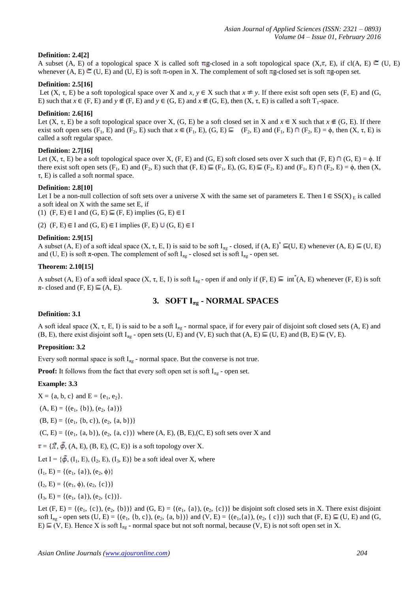## **Definition: 2.4[2]**

A subset (A, E) of a topological space X is called soft  $\pi$ g-closed in a soft topological space (X, $\tau$ , E), if cl(A, E)  $\epsilon$  (U, E) whenever (A, E)  $\subseteq$  (U, E) and (U, E) is soft  $\pi$ -open in X. The complement of soft  $\pi$ g-closed set is soft  $\pi$ g-open set.

## **Definition: 2.5[16]**

Let  $(X, \tau, E)$  be a soft topological space over X and x,  $y \in X$  such that  $x \neq y$ . If there exist soft open sets  $(F, E)$  and  $(G,$ E) such that  $x \in (F, E)$  and  $y \notin (F, E)$  and  $y \in (G, E)$  and  $x \notin (G, E)$ , then  $(X, \tau, E)$  is called a soft T<sub>1</sub>-space.

#### **Definition: 2.6[16]**

Let  $(X, \tau, E)$  be a soft topological space over X,  $(G, E)$  be a soft closed set in X and  $x \in X$  such that  $x \notin (G, E)$ . If there exist soft open sets  $(F_1, E)$  and  $(F_2, E)$  such that  $x \in (F_1, E), (G, E) \subseteq (F_2, E)$  and  $(F_1, E) \cap (F_2, E) = \phi$ , then  $(X, \tau, E)$  is called a soft regular space.

#### **Definition: 2.7[16]**

Let  $(X, \tau, E)$  be a soft topological space over X,  $(F, E)$  and  $(G, E)$  soft closed sets over X such that  $(F, E) \cap (G, E) = \emptyset$ . If there exist soft open sets  $(F_1, E)$  and  $(F_2, E)$  such that  $(F, E) \subseteq (F_1, E)$ ,  $(G, E) \subseteq (F_2, E)$  and  $(F_1, E) \cap (F_2, E) = \emptyset$ , then  $(X, E)$ τ, E) is called a soft normal space.

#### **Definition: 2.8[10]**

Let I be a non-null collection of soft sets over a universe X with the same set of parameters E. Then  $I \in SS(X)_{E}$  is called a soft ideal on X with the same set E, if

(1)  $(F, E) \in I$  and  $(G, E) \subseteq (F, E)$  implies  $(G, E) \in I$ 

(2)  $(F, E) \in I$  and  $(G, E) \in I$  implies  $(F, E) \cup (G, E) \in I$ 

## **Definition: 2.9[15]**

A subset  $(A, E)$  of a soft ideal space  $(X, \tau, E, I)$  is said to be soft  $I_{\pi g}$  - closed, if  $(A, E)^* \subseteq (U, E)$  whenever  $(A, E) \subseteq (U, E)$ and (U, E) is soft  $\pi$ -open. The complement of soft I<sub> $\pi$ g</sub> - closed set is soft I<sub> $\pi$ g</sub> - open set.

#### **Theorem: 2.10[15]**

A subset  $(A, E)$  of a soft ideal space  $(X, \tau, E, I)$  is soft  $I_{\pi g}$ -open if and only if  $(F, E) \subseteq \int f(A, E)$  whenever  $(F, E)$  is soft  $\pi$ - closed and (F, E)  $\subseteq$  (A, E).

## **3. SOFT Ιπg - NORMAL SPACES**

#### **Definition: 3.1**

A soft ideal space  $(X, \tau, E, I)$  is said to be a soft  $I_{\pi g}$  - normal space, if for every pair of disjoint soft closed sets  $(A, E)$  and  $(B, E)$ , there exist disjoint soft  $I_{\pi g}$  - open sets  $(U, E)$  and  $(V, E)$  such that  $(A, E) \subseteq (U, E)$  and  $(B, E) \subseteq (V, E)$ .

## **Preposition: 3.2**

Every soft normal space is soft  $I_{\pi g}$  - normal space. But the converse is not true.

**Proof:** It follows from the fact that every soft open set is soft  $I_{\pi g}$  - open set.

## **Example: 3.3**

 $X = \{a, b, c\}$  and  $E = \{e_1, e_2\}.$ 

 $(A, E) = \{(e_1, \{b\}), (e_2, \{a\})\}$ 

$$
(B, E) = \{ (e_1, \{b, c\}), (e_2, \{a, b\}) \}
$$

 $(C, E) = \{(e_1, \{a, b\}), (e_2, \{a, c\})\}$  where  $(A, E), (B, E), (C, E)$  soft sets over X and

 $\tau = \{ \vec{X}, \vec{\phi}, (A, E), (B, E), (C, E) \}$  is a soft topology over X.

Let I =  $\{\tilde{\phi}, (I_1, E), (I_2, E), (I_3, E)\}\$ be a soft ideal over X, where

 $(I_1, E) = \{(e_1, \{a\}), (e_2, \phi)\}\$ 

 $(I_2, E) = \{(e_1, \phi), (e_2, \{c\})\}$ 

 $(I_3, E) = \{(e_1, \{a\}), (e_2, \{c\})\}.$ 

Let  $(F, E) = \{(e_1, \{c\})$ ,  $(e_2, \{b\})\}$  and  $(G, E) = \{(e_1, \{a\})$ ,  $(e_2, \{c\})\}$  be disjoint soft closed sets in X. There exist disjoint soft  $I_{\pi g}$  - open sets (U, E) = {(e<sub>1</sub>, {b, c}), (e<sub>2</sub>, {a, b})} and (V, E) = {(e<sub>1</sub>, {a}), (e<sub>2</sub>, {c})} such that (F, E)  $\subseteq$  (U, E) and (G,  $E$ )  $\subseteq$  (V, E). Hence X is soft  $I_{\text{rg}}$  - normal space but not soft normal, because (V, E) is not soft open set in X.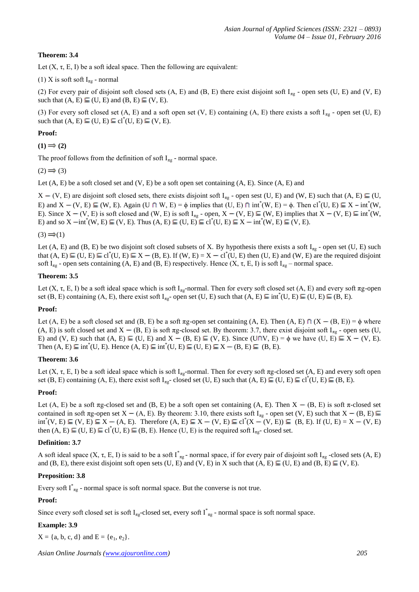## **Theorem: 3.4**

Let  $(X, \tau, E, I)$  be a soft ideal space. Then the following are equivalent:

(1) X is soft soft  $I_{\pi g}$  - normal

(2) For every pair of disjoint soft closed sets  $(A, E)$  and  $(B, E)$  there exist disjoint soft  $I_{\pi g}$  - open sets  $(U, E)$  and  $(V, E)$ such that  $(A, E) \subseteq (U, E)$  and  $(B, E) \subseteq (V, E)$ .

(3) For every soft closed set  $(A, E)$  and a soft open set  $(V, E)$  containing  $(A, E)$  there exists a soft  $I_{\pi g}$  - open set  $(U, E)$ such that  $(A, E) \subseteq (U, E) \subseteq cl^*(U, E) \subseteq (V, E)$ .

## **Proof:**

 $(1) \implies (2)$ 

The proof follows from the definition of soft  $I_{\pi g}$  - normal space.

 $(2) \implies (3)$ 

Let  $(A, E)$  be a soft closed set and  $(V, E)$  be a soft open set containing  $(A, E)$ . Since  $(A, E)$  and

 $X - (V, E)$  are disjoint soft closed sets, there exists disjoint soft I<sub>πg</sub> - open sest (U, E) and (W, E) such that (A, E)  $\subseteq$  (U, E) and  $X - (V, E) \subseteq (W, E)$ . Again  $(U \cap W, E) = \phi$  implies that  $(U, E) \cap int^*(W, E) = \phi$ . Then  $cl^*(U, E) \subseteq X - int^*(W, E)$ E). Since  $X - (V, E)$  is soft closed and  $(W, E)$  is soft  $I_{\pi g}$  - open,  $X - (V, E) \subseteq (W, E)$  implies that  $X - (V, E) \subseteq int^*(W, E)$ E) and so X  $\text{--int}^*(W, E) \subseteq (V, E)$ . Thus  $(A, E) \subseteq (U, E) \subseteq cl^*(U, E) \subseteq X \text{--}int^*(W, E) \subseteq (V, E)$ .

 $(3) \implies (1)$ 

Let (A, E) and (B, E) be two disjoint soft closed subsets of X. By hypothesis there exists a soft  $I_{\pi g}$  - open set (U, E) such that  $(A, E) \subseteq (U, E) \subseteq cl^*(U, E) \subseteq X - (B, E)$ . If  $(W, E) = X - cl^*(U, E)$  then  $(U, E)$  and  $(W, E)$  are the required disjoint soft  $I_{\pi g}$  - open sets containing (A, E) and (B, E) respectively. Hence (X,  $\tau$ , E, I) is soft  $I_{\pi g}$  – normal space.

## **Theorem: 3.5**

Let  $(X, \tau, E, I)$  be a soft ideal space which is soft I<sub>πg</sub>-normal. Then for every soft closed set  $(A, E)$  and every soft  $\pi g$ -open set (B, E) containing (A, E), there exist soft  $I_{\pi g}$ - open set (U, E) such that (A, E)  $\subseteq$  int<sup>\*</sup>(U, E)  $\subseteq$  (U, E)  $\subseteq$  (B, E).

## **Proof:**

Let (A, E) be a soft closed set and (B, E) be a soft  $\pi$ g-open set containing (A, E). Then (A, E)  $\cap$  (X – (B, E)) =  $\phi$  where (A, E) is soft closed set and  $X - (B, E)$  is soft πg-closed set. By theorem: 3.7, there exist disjoint soft I<sub>πg</sub> - open sets (U, E) and (V, E) such that  $(A, E) \subseteq (U, E)$  and  $X - (B, E) \subseteq (V, E)$ . Since  $(U \cap V, E) = \phi$  we have  $(U, E) \subseteq X - (V, E)$ . Then  $(A, E) \subseteq int^*(U, E)$ . Hence  $(A, E) \subseteq int^*(U, E) \subseteq (U, E) \subseteq X - (B, E) \subseteq (B, E)$ .

## **Theorem: 3.6**

Let  $(X, \tau, E, I)$  be a soft ideal space which is soft I<sub>ng</sub>-normal. Then for every soft  $\pi g$ -closed set  $(A, E)$  and every soft open set (B, E) containing (A, E), there exist soft  $I_{\text{rg}}$ -closed set (U, E) such that (A, E)  $\subseteq$  (U, E)  $\subseteq$  cl<sup>\*</sup>(U, E)  $\subseteq$  (B, E).

## **Proof:**

Let  $(A, E)$  be a soft  $\pi g$ -closed set and  $(B, E)$  be a soft open set containing  $(A, E)$ . Then  $X - (B, E)$  is soft  $\pi$ -closed set contained in soft  $\pi$ g-open set X – (A, E). By theorem: 3.10, there exists soft I<sub> $\pi$ g</sub> - open set (V, E) such that X – (B, E)  $int^*(V, E) \subseteq (V, E) \subseteq X - (A, E)$ . Therefore  $(A, E) \subseteq X - (V, E) \subseteq cl^*(X - (V, E)) \subseteq (B, E)$ . If  $(U, E) = X - (V, E)$ then  $(A, E) \subseteq (U, E) \subseteq cl^*(U, E) \subseteq (B, E)$ . Hence  $(U, E)$  is the required soft  $I_{\pi g}$ -closed set.

## **Definition: 3.7**

A soft ideal space  $(X, \tau, E, I)$  is said to be a soft  $I_{\pi g}^*$ -normal space, if for every pair of disjoint soft  $I_{\pi g}$ -closed sets  $(A, E)$ and (B, E), there exist disjoint soft open sets (U, E) and (V, E) in X such that  $(A, E) \subseteq (U, E)$  and  $(B, E) \subseteq (V, E)$ .

## **Preposition: 3.8**

Every soft  $I^*_{\text{rg}}$  - normal space is soft normal space. But the converse is not true.

## **Proof:**

Since every soft closed set is soft  $I_{\pi g}$ -closed set, every soft  $I_{\pi g}^*$ - normal space is soft normal space.

## **Example: 3.9**

 $X = \{a, b, c, d\}$  and  $E = \{e_1, e_2\}.$ 

*Asian Online Journals (www.ajouronline.com) 205*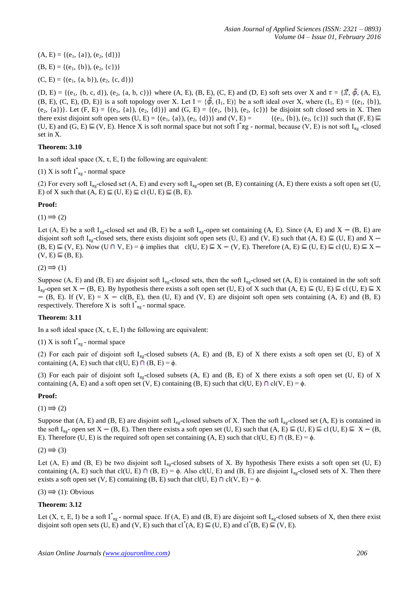$(A, E) = \{(e_1, \{a\}), (e_2, \{d\})\}$  $(B, E) = \{(e_1, \{b\}), (e_2, \{c\})\}$ 

 $(C, E) = \{(e_1, \{a, b\}), (e_2, \{c, d\})\}$ 

 $(D, E) = \{(e_1, \{b, c, d\}), (e_2, \{a, b, c\})\}$  where  $(A, E), (B, E), (C, E)$  and  $(D, E)$  soft sets over X and  $\tau = \{\vec{X}, \vec{\phi}, (A, E), (C, E)\}$ (B, E), (C, E), (D, E)} is a soft topology over X. Let  $I = \{\phi$ ,  $(I_1, E)\}$  be a soft ideal over X, where  $(I_1, E) = \{(e_1, \{b\})\}$ (e<sub>2</sub>, {a})}. Let (F, E) = {(e<sub>1</sub>, {a}), (e<sub>2</sub>, {d})} and (G, E) = {(e<sub>1</sub>, {b}), (e<sub>2</sub>, {c})} be disjoint soft closed sets in X. Then there exist disjoint soft open sets (U, E) = {(e<sub>1</sub>, {a}), (e<sub>2</sub>, {d})} and (V, E) = {( there exist disjoint soft open sets (U, E) = { $(e_1, \{a\})$ ,  $(e_2, \{d\})$ } and (V, E) = (U, E) and (G, E)  $\subseteq$  (V, E). Hence X is soft normal space but not soft  $I^*\pi g$  - normal, because (V, E) is not soft  $I_{\pi g}$  -closed set in X.

## **Theorem: 3.10**

In a soft ideal space  $(X, \tau, E, I)$  the following are equivalent:

(1) X is soft  $I^*_{\pi g}$  - normal space

(2) For every soft  $I_{\pi g}$ -closed set  $(A, E)$  and every soft  $I_{\pi g}$ -open set  $(B, E)$  containing  $(A, E)$  there exists a soft open set  $(U, E)$ E) of X such that  $(A, E) \subseteq (U, E) \subseteq cl(U, E) \subseteq (B, E)$ .

## **Proof:**

 $(1) \implies (2)$ 

Let (A, E) be a soft I<sub>πg</sub>-closed set and (B, E) be a soft I<sub>πg</sub>-open set containing (A, E). Since (A, E) and X – (B, E) are disjoint soft soft I<sub>ng</sub>-closed sets, there exists disjoint soft open sets (U, E) and (V, E) such that (A, E)  $\subseteq$  (U, E) and X –  $(B, E) \subseteq (V, E)$ . Now  $(U \cap V, E) = \phi$  implies that  $cl(U, E) \subseteq X - (V, E)$ . Therefore  $(A, E) \subseteq (U, E) \subseteq cl(U, E) \subseteq X (V, E) \subseteq (B, E)$ .

 $(2) \implies (1)$ 

Suppose (A, E) and (B, E) are disjoint soft  $I_{\pi g}$ -closed sets, then the soft  $I_{\pi g}$ -closed set (A, E) is contained in the soft soft  $I_{\text{ra}}$ -open set  $X - (B, E)$ . By hypothesis there exists a soft open set (U, E) of X such that  $(A, E) \subseteq (U, E) \subseteq cI(U, E) \subseteq X$  $-$  (B, E). If (V, E) = X  $-$  cl(B, E), then (U, E) and (V, E) are disjoint soft open sets containing (A, E) and (B, E) respectively. Therefore X is soft  $I^{*}_{\pi g}$  - normal space.

## **Theorem: 3.11**

In a soft ideal space  $(X, \tau, E, I)$  the following are equivalent:

(1) X is soft  $I^*_{\pi g}$  - normal space

(2) For each pair of disjoint soft  $I_{\text{ra}}$ -closed subsets (A, E) and (B, E) of X there exists a soft open set (U, E) of X containing (A, E) such that cl(U, E)  $\cap$  (B, E) =  $\phi$ .

(3) For each pair of disjoint soft  $I_{\pi g}$ -closed subsets (A, E) and (B, E) of X there exists a soft open set (U, E) of X containing (A, E) and a soft open set (V, E) containing (B, E) such that cl(U, E)  $\cap$  cl(V, E) =  $\phi$ .

## **Proof:**

 $(1) \implies (2)$ 

Suppose that (A, E) and (B, E) are disjoint soft  $I_{\pi g}$ -closed subsets of X. Then the soft  $I_{\pi g}$ -closed set (A, E) is contained in the soft  $I_{\pi g}$  open set  $X - (B, E)$ . Then there exists a soft open set  $(U, E)$  such that  $(A, E) \subseteq (U, E) \subseteq cl(U, E) \subseteq X - (B, E)$ E). Therefore (U, E) is the required soft open set containing (A, E) such that cl(U, E)  $\cap$  (B, E) =  $\phi$ .

 $(2) \implies (3)$ 

Let  $(A, E)$  and  $(B, E)$  be two disjoint soft  $I_{\text{rg}}$ -closed subsets of X. By hypothesis There exists a soft open set  $(U, E)$ containing  $(A, E)$  such that cl(U, E)  $\cap$   $(B, E) = \phi$ . Also cl(U, E) and  $(B, E)$  are disjoint I<sub>ng</sub>-closed sets of X. Then there exists a soft open set (V, E) containing (B, E) such that cl(U, E)  $\cap$  cl(V, E) =  $\phi$ .

 $(3) \implies (1)$ : Obvious

## **Theorem: 3.12**

Let  $(X, \tau, E, I)$  be a soft  $I_{\pi g}^*$ - normal space. If  $(A, E)$  and  $(B, E)$  are disjoint soft  $I_{\pi g}$ -closed subsets of X, then there exist disjoint soft open sets  $(U, E)$  and  $(V, E)$  such that  $cl^*(A, E) \subseteq (U, E)$  and  $cl^*(B, E) \subseteq (V, E)$ .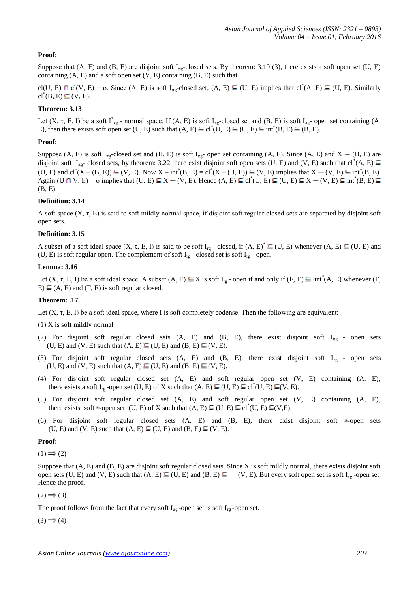## **Proof:**

Suppose that  $(A, E)$  and  $(B, E)$  are disjoint soft  $I_{\pi g}$ -closed sets. By theorem: 3.19 (3), there exists a soft open set (U, E) containing  $(A, E)$  and a soft open set  $(V, E)$  containing  $(B, E)$  such that

cl(U, E)  $\cap$  cl(V, E) =  $\phi$ . Since (A, E) is soft I<sub>ng</sub>-closed set, (A, E)  $\subseteq$  (U, E) implies that cl<sup>\*</sup>(A, E)  $\subseteq$  (U, E). Similarly  $\mathrm{cl}^*(B, E) \subseteq (V, E).$ 

#### **Theorem: 3.13**

Let  $(X, \tau, E, I)$  be a soft  $I_{\pi g}^*$ - normal space. If  $(A, E)$  is soft  $I_{\pi g}$ -closed set and  $(B, E)$  is soft  $I_{\pi g}$ - open set containing  $(A, E)$ E), then there exists soft open set  $(U, E)$  such that  $(A, E) \subseteq cl^*(U, E) \subseteq (U, E) \subseteq int^*(B, E) \subseteq (B, E)$ .

#### **Proof:**

Suppose (A, E) is soft  $I_{\pi g}$ -closed set and (B, E) is soft  $I_{\pi g}$ - open set containing (A, E). Since (A, E) and X – (B, E) are disjoint soft  $I_{\text{rg}}$ - closed sets, by theorem: 3.22 there exist disjoint soft open sets (U, E) and (V, E) such that cl<sup>\*</sup>(A, E) (U, E) and cl<sup>\*</sup>(X – (B, E))  $\subseteq$  (V, E). Now X – int<sup>\*</sup>(B, E) = cl<sup>\*</sup>(X – (B, E))  $\subseteq$  (V, E) implies that X – (V, E)  $\subseteq$  int<sup>\*</sup>(B, E). Again (U  $\cap$  V, E) =  $\phi$  implies that (U, E)  $\subseteq X - (V, E)$ . Hence  $(A, E) \subseteq cl^*(U, E) \subseteq (U, E) \subseteq X - (V, E) \subseteq int^*(B, E)$ (B, E).

#### **Definition: 3.14**

A soft space  $(X, \tau, E)$  is said to soft mildly normal space, if disjoint soft regular closed sets are separated by disjoint soft open sets.

#### **Definition: 3.15**

A subset of a soft ideal space  $(X, \tau, E, I)$  is said to be soft  $I_{rg}$  - closed, if  $(A, E)^* \subseteq (U, E)$  whenever  $(A, E) \subseteq (U, E)$  and (U, E) is soft regular open. The complement of soft  $I_{rg}$  - closed set is soft  $I_{rg}$  - open.

#### **Lemma: 3.16**

Let  $(X, \tau, E, I)$  be a soft ideal space. A subset  $(A, E) \subseteq X$  is soft  $I_{rg}$ -open if and only if  $(F, E) \subseteq int^*(A, E)$  whenever  $(F, E)$  $E \subseteq (A, E)$  and  $(F, E)$  is soft regular closed.

#### **Theorem: .17**

Let  $(X, \tau, E, I)$  be a soft ideal space, where I is soft completely codense. Then the following are equivalent:

(1) X is soft mildly normal

- (2) For disjoint soft regular closed sets (A, E) and (B, E), there exist disjoint soft  $I_{\pi g}$  open sets  $(U, E)$  and  $(V, E)$  such that  $(A, E) \subseteq (U, E)$  and  $(B, E) \subseteq (V, E)$ .
- (3) For disjoint soft regular closed sets (A, E) and (B, E), there exist disjoint soft  $I_{rg}$  open sets  $(U, E)$  and  $(V, E)$  such that  $(A, E) \subseteq (U, E)$  and  $(B, E) \subseteq (V, E)$ .
- (4) For disjoint soft regular closed set (A, E) and soft regular open set (V, E) containing (A, E), there exists a soft I<sub>rg</sub>-open set (U, E) of X such that  $(A, E) \subseteq (U, E) \subseteq cl^*(U, E) \subseteq (V, E)$ .
- (5) For disjoint soft regular closed set (A, E) and soft regular open set (V, E) containing (A, E), there exists soft \*-open set (U, E) of X such that  $(A, E) \subseteq (U, E) \subseteq cl^*(U, E) \subseteq (V, E)$ .
- (6) For disjoint soft regular closed sets  $(A, E)$  and  $(B, E)$ , there exist disjoint soft  $*$ -open sets  $(U, E)$  and  $(V, E)$  such that  $(A, E) \subseteq (U, E)$  and  $(B, E) \subseteq (V, E)$ .

#### **Proof:**

 $(1) \implies (2)$ 

Suppose that (A, E) and (B, E) are disjoint soft regular closed sets. Since X is soft mildly normal, there exists disjoint soft open sets (U, E) and (V, E) such that  $(A, E) \subseteq (U, E)$  and  $(B, E) \subseteq (V, E)$ . But every soft open set is soft I<sub>ng</sub>-open set. Hence the proof.

 $(2) \implies (3)$ 

The proof follows from the fact that every soft  $I_{\pi g}$ -open set is soft  $I_{rg}$ -open set.

 $(3) \implies (4)$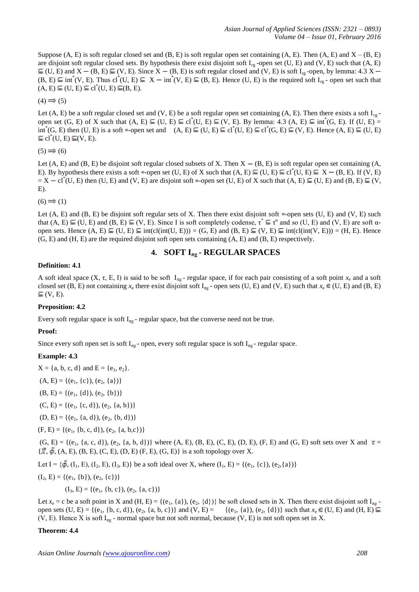Suppose  $(A, E)$  is soft regular closed set and  $(B, E)$  is soft regular open set containing  $(A, E)$ . Then  $(A, E)$  and  $X - (B, E)$ are disjoint soft regular closed sets. By hypothesis there exist disjoint soft  $I_{rg}$ -open set (U, E) and (V, E) such that (A, E)  $\subseteq$  (U, E) and X – (B, E)  $\subseteq$  (V, E). Since X – (B, E) is soft regular closed and (V, E) is soft I<sub>rg</sub> -open, by lemma: 4.3 X –  $(B, E) \subseteq int^*(V, E)$ . Thus  $cl^*(U, E) \subseteq X - int^*(V, E) \subseteq (B, E)$ . Hence  $(U, E)$  is the required soft  $I_{rg}$ -open set such that  $(A, E) \subseteq (U, E) \subseteq cl^*(U, E) \subseteq (B, E).$ 

 $(4) \implies (5)$ 

Let (A, E) be a soft regular closed set and (V, E) be a soft regular open set containing (A, E). Then there exists a soft  $I_{rg}$ open set  $(G, E)$  of X such that  $(A, E) \subseteq (U, E) \subseteq cl^*(U, E) \subseteq (V, E)$ . By lemma: 4.3  $(A, E) \subseteq int^*(G, E)$ . If  $(U, E) =$  $int^*(G, E)$  then  $(U, E)$  is a soft \*-open set and  $(A, E) \subseteq (U, E) \subseteq cl^*(U, E) \subseteq cl^*(G, E) \subseteq (V, E)$ . Hence  $(A, E) \subseteq (U, E)$  $cl^*(U, E) \subseteq (V, E).$ 

 $(5) \implies (6)$ 

Let  $(A, E)$  and  $(B, E)$  be disjoint soft regular closed subsets of X. Then  $X - (B, E)$  is soft regular open set containing  $(A, E)$ E). By hypothesis there exists a soft \*-open set (U, E) of X such that  $(A, E) \subseteq (U, E) \subseteq cl^*(U, E) \subseteq X - (B, E)$ . If  $(V, E)$  $= X - cl^*(U, E)$  then  $(U, E)$  and  $(V, E)$  are disjoint soft  $*$ -open set  $(U, E)$  of X such that  $(A, E) \subseteq (U, E)$  and  $(B, E) \subseteq (V, E)$ E).

 $(6) \implies (1)$ 

Let  $(A, E)$  and  $(B, E)$  be disjoint soft regular sets of X. Then there exist disjoint soft  $\ast$ -open sets  $(U, E)$  and  $(V, E)$  such that  $(A, E) \subseteq (U, E)$  and  $(B, E) \subseteq (V, E)$ . Since I is soft completely codense,  $\tau^* \subseteq \tau^{\alpha}$  and so  $(U, E)$  and  $(V, E)$  are soft  $\alpha$ open sets. Hence  $(A, E) \subseteq (U, E) \subseteq int(cl(int(U, E))) = (G, E)$  and  $(B, E) \subseteq (V, E) \subseteq int(cl(int(V, E))) = (H, E)$ . Hence (G, E) and (H, E) are the required disjoint soft open sets containing (A, E) and (B, E) respectively.

## **4. SOFT Iπg - REGULAR SPACES**

## **Definition: 4.1**

A soft ideal space  $(X, \tau, E, I)$  is said to be soft  $I_{\tau g}$ - regular space, if for each pair consisting of a soft point  $x_e$  and a soft closed set (B, E) not containing  $x_e$  there exist disjoint soft I<sub>ng</sub> - open sets (U, E) and (V, E) such that  $x_e \in (U, E)$  and (B, E)  $\subseteq$  (V, E).

## **Preposition: 4.2**

Every soft regular space is soft  $I_{\pi g}$  - regular space, but the converse need not be true.

## **Proof:**

Since every soft open set is soft  $I_{\pi g}$  - open, every soft regular space is soft  $I_{\pi g}$  - regular space.

## **Example: 4.3**

 $X = \{a, b, c, d\}$  and  $E = \{e_1, e_2\}.$ 

- $(A, E) = \{(e_1, \{c\}), (e_2, \{a\})\}$
- $(B, E) = \{(e_1, \{d\}), (e_2, \{b\})\}$
- $(C, E) = \{(e_1, \{c, d\}), (e_2, \{a, b\})\}$

$$
(D,\,E)=\{(e_1,\,\{a,\,d\}),\,(e_2,\,\{b,\,d\})\}
$$

 $(F, E) = \{(e_1, \{b, c, d\}), (e_2, \{a, b, c\})\}$ 

 $(G, E) = \{(e_1, \{a, c, d\}), (e_2, \{a, b, d\})\}$  where  $(A, E), (B, E), (C, E), (D, E), (F, E)$  and  $(G, E)$  soft sets over X and  $\tau =$  $\{\vec{X}, \vec{\phi}, (A, E), (B, E), (C, E), (D, E), (F, E), (G, E)\}\$ is a soft topology over X.

Let I = { $\tilde{\phi}$ , (I<sub>1</sub>, E), (I<sub>2</sub>, E), (I<sub>3</sub>, E)} be a soft ideal over X, where (I<sub>1</sub>, E) = {(e<sub>1</sub>, {c}), (e<sub>2</sub>, {a})}

$$
(I_2, E) = \{(e_1, \{b\}), (e_2, \{c\})\}
$$

 $(I_3, E) = \{(e_1, \{b, c\}), (e_2, \{a, c\})\}$ 

Let  $x_e = c$  be a soft point in X and (H, E) = {(e<sub>1</sub>, {a}), (e<sub>2</sub>, {d})} be soft closed sets in X. Then there exist disjoint soft  $I_{\text{mg}}$ open sets (U, E) = {(e<sub>1</sub>, {b, c, d}), (e<sub>2</sub>, {a, b, c})} and (V, E) = {(e<sub>1</sub>, {a}), (e<sub>2</sub>, {d})} such that  $x_e \in (U, E)$  and (H, E)  $\subseteq$ (V, E). Hence X is soft  $I_{\pi g}$  - normal space but not soft normal, because (V, E) is not soft open set in X.

## **Theorem: 4.4**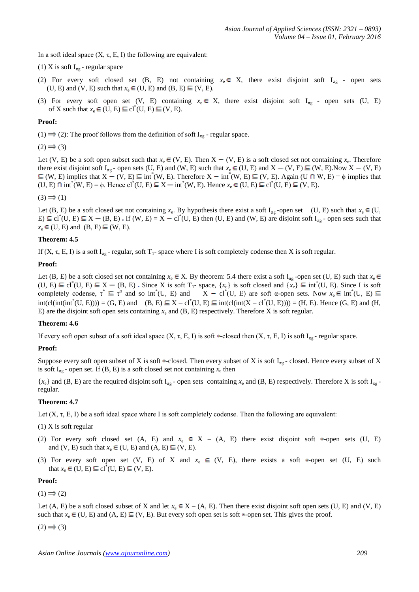In a soft ideal space  $(X, \tau, E, I)$  the following are equivalent:

(1) X is soft  $I_{\text{mg}}$  - regular space

- (2) For every soft closed set (B, E) not containing  $x_e \in X$ , there exist disjoint soft I<sub>ng</sub> open sets (U, E) and (V, E) such that  $x_e \in (U, E)$  and  $(B, E) \subseteq (V, E)$ .
- (3) For every soft open set (V, E) containing  $x_e \in X$ , there exist disjoint soft I<sub>ng</sub> open sets (U, E) of X such that  $x_e \in (U, E) \subseteq cl^*(U, E) \subseteq (V, E)$ .

#### **Proof:**

(1)  $\Rightarrow$  (2): The proof follows from the definition of soft I<sub>πg</sub> - regular space.

 $(2) \implies (3)$ 

Let (V, E) be a soft open subset such that  $x_e \in (V, E)$ . Then  $X - (V, E)$  is a soft closed set not containing  $x_e$ . Therefore there exist disjoint soft I<sub>πg</sub> - open sets (U, E) and (W, E) such that  $x_e \in (U, E)$  and  $X - (V, E) \subseteq (W, E)$ .Now  $X - (V, E)$ (W, E) implies that  $X - (V, E) \subseteq int^*(W, E)$ . Therefore  $X - int^*(W, E) \subseteq (V, E)$ . Again (U  $\cap$  W, E) =  $\phi$  implies that  $(U, E) \cap \text{int}^*(W, E) = \phi$ . Hence  $cl^*(U, E) \subseteq X - \text{int}^*(W, E)$ . Hence  $x_e \in (U, E) \subseteq cl^*(U, E) \subseteq (V, E)$ .

 $(3) \implies (1)$ 

Let (B, E) be a soft closed set not containing  $x_e$ . By hypothesis there exist a soft  $I_{\pi g}$ -open set (U, E) such that  $x_e \in (U, E)$  $E \subseteq cl^*(U, E) \subseteq X - (B, E)$ . If  $(W, E) = X - cl^*(U, E)$  then  $(U, E)$  and  $(W, E)$  are disjoint soft I<sub>ng</sub> - open sets such that  $x_e \in (U, E)$  and  $(B, E) \subseteq (W, E)$ .

#### **Theorem: 4.5**

If  $(X, \tau, E, I)$  is a soft I<sub>ng</sub> - regular, soft T<sub>1</sub>- space where I is soft completely codense then X is soft regular.

#### **Proof:**

Let (B, E) be a soft closed set not containing  $x_e \in X$ . By theorem: 5.4 there exist a soft  $I_{\pi g}$ -open set (U, E) such that  $x_e \in X$  $(U, E) \subseteq cl^*(U, E) \subseteq X - (B, E)$ . Since X is soft  $T_1$ - space,  $\{x_e\}$  is soft closed and  $\{x_e\} \subseteq int^*(U, E)$ . Since I is soft completely codense,  $\tau^* \subseteq \tau^{\alpha}$  and so int<sup>\*</sup>(U, E) and  $X - cl^*(U, E)$  are soft  $\alpha$ -open sets. Now  $x_e \in int^*(U, E)$  $int(cl(int(int^*(U, E)))) = (G, E)$  and  $(B, E) \subseteq X - cl^*(U, E) \subseteq int(cl(int(X - cl^*(U, E)))) = (H, E)$ . Hence  $(G, E)$  and  $(H, E)$ E) are the disjoint soft open sets containing  $x_e$  and  $(B, E)$  respectively. Therefore X is soft regular.

#### **Theorem: 4.6**

If every soft open subset of a soft ideal space (X, τ, E, I) is soft \*-closed then (X, τ, E, I) is soft I<sub>πg</sub> - regular space.

## **Proof:**

Suppose every soft open subset of X is soft  $\ast$ -closed. Then every subset of X is soft I<sub>ng</sub> - closed. Hence every subset of X is soft  $I_{\pi g}$  - open set. If (B, E) is a soft closed set not containing  $x_e$  then

 ${x<sub>e</sub>}$  and (B, E) are the required disjoint soft I<sub>πg</sub> - open sets containing  ${x<sub>e</sub>}$  and (B, E) respectively. Therefore X is soft I<sub>πg</sub> regular.

#### **Theorem: 4.7**

Let  $(X, \tau, E, I)$  be a soft ideal space where I is soft completely codense. Then the following are equivalent:

- (1) X is soft regular
- (2) For every soft closed set  $(A, E)$  and  $x_e \in X (A, E)$  there exist disjoint soft \*-open sets  $(U, E)$ and (V, E) such that  $x_e \in (U, E)$  and  $(A, E) \subseteq (V, E)$ .
- (3) For every soft open set (V, E) of X and  $x_e \in (V, E)$ , there exists a soft \*-open set (U, E) such that  $x_e \in (U, E) \subseteq cl^*(U, E) \subseteq (V, E)$ .

#### **Proof:**

 $(1) \implies (2)$ 

Let (A, E) be a soft closed subset of X and let  $x_e \in X - (A, E)$ . Then there exist disjoint soft open sets (U, E) and (V, E) such that  $x_e \in (U, E)$  and  $(A, E) \subseteq (V, E)$ . But every soft open set is soft  $\ast$ -open set. This gives the proof.

 $(2) \implies (3)$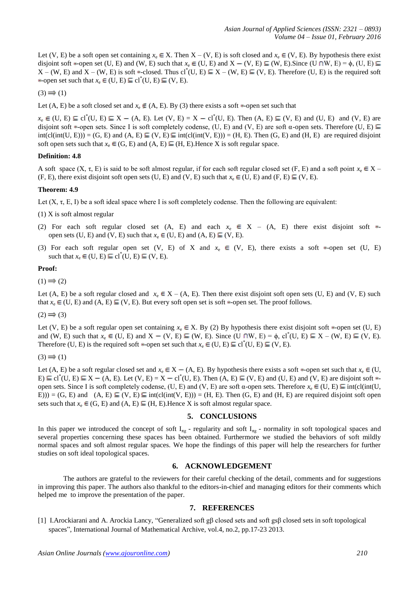Let (V, E) be a soft open set containing  $x_e \in X$ . Then  $X - (V, E)$  is soft closed and  $x_e \in (V, E)$ . By hypothesis there exist disjoint soft  $*$ -open set (U, E) and (W, E) such that  $x_e \in (U, E)$  and  $X - (V, E) \subseteq (W, E)$ . Since  $(U \cap W, E) = \phi$ ,  $(U, E) \subseteq$  $X - (W, E)$  and  $X - (W, E)$  is soft \*-closed. Thus cl<sup>\*</sup>(U, E)  $\subseteq X - (W, E) \subseteq (V, E)$ . Therefore (U, E) is the required soft -open set such that  $x_e \in (U, E) \subseteq cl^*(U, E) \subseteq (V, E)$ .

 $(3) \implies (1)$ 

Let (A, E) be a soft closed set and  $x_e \notin (A, E)$ . By (3) there exists a soft  $\ast$ -open set such that

 $x_e \in (U, E) \subseteq cl^*(U, E) \subseteq X - (A, E)$ . Let  $(V, E) = X - cl^*(U, E)$ . Then  $(A, E) \subseteq (V, E)$  and  $(U, E)$  and  $(V, E)$  are disjoint soft  $*$ -open sets. Since I is soft completely codense, (U, E) and (V, E) are soft  $\alpha$ -open sets. Therefore (U, E)  $int(cl(int(U, E))) = (G, E)$  and  $(A, E) \subseteq (V, E) \subseteq int(cl(int(V, E))) = (H, E)$ . Then  $(G, E)$  and  $(H, E)$  are required disjoint soft open sets such that  $x_e \in (G, E)$  and  $(A, E) \subseteq (H, E)$ . Hence X is soft regular space.

## **Definition: 4.8**

A soft space  $(X, \tau, E)$  is said to be soft almost regular, if for each soft regular closed set  $(F, E)$  and a soft point  $x_e \in X - E$ (F, E), there exist disjoint soft open sets (U, E) and (V, E) such that  $x_e \in (U, E)$  and (F, E)  $\subseteq$  (V, E).

#### **Theorem: 4.9**

Let  $(X, \tau, E, I)$  be a soft ideal space where I is soft completely codense. Then the following are equivalent:

- (1) X is soft almost regular
- (2) For each soft regular closed set (A, E) and each  $x_e \in X (A, E)$  there exist disjoint soft  $\ast$ open sets (U, E) and (V, E) such that  $x_e \in (U, E)$  and  $(A, E) \subseteq (V, E)$ .
- (3) For each soft regular open set (V, E) of X and  $x_e \in (V, E)$ , there exists a soft \*-open set (U, E) such that  $x_e \in (U, E) \subseteq cl^*(U, E) \subseteq (V, E)$ .

#### **Proof:**

 $(1) \implies (2)$ 

Let (A, E) be a soft regular closed and  $x_e \in X - (A, E)$ . Then there exist disjoint soft open sets (U, E) and (V, E) such that  $x_e \in (U, E)$  and  $(A, E) \subseteq (V, E)$ . But every soft open set is soft  $\ast$ -open set. The proof follows.

 $(2) \implies (3)$ 

Let (V, E) be a soft regular open set containing  $x_e \in X$ . By (2) By hypothesis there exist disjoint soft  $*$ -open set (U, E) and (W, E) such that  $x_e \in (U, E)$  and  $X - (V, E) \subseteq (W, E)$ . Since  $(U \cap W, E) = \phi$ , cl<sup>\*</sup>(U, E)  $\subseteq X - (W, E) \subseteq (V, E)$ . Therefore (U, E) is the required soft  $\ast$ -open set such that  $x_e \in (U, E) \subseteq cl^*(U, E) \subseteq (V, E)$ .

 $(3) \implies (1)$ 

Let (A, E) be a soft regular closed set and  $x_e \in X - (A, E)$ . By hypothesis there exists a soft  $\ast$ -open set such that  $x_e \in (U, E)$  $E \subseteq cl^*(U, E) \subseteq X - (A, E)$ . Let  $(V, E) = X - cl^*(U, E)$ . Then  $(A, E) \subseteq (V, E)$  and  $(U, E)$  and  $(V, E)$  are disjoint soft  $\ast$ open sets. Since I is soft completely codense, (U, E) and (V, E) are soft α-open sets. Therefore  $x_e \in (U, E) \subseteq int(cl(int(U, E))$ E))) = (G, E) and (A, E)  $\subseteq$  (V, E)  $\subseteq$  int(cl(int(V, E))) = (H, E). Then (G, E) and (H, E) are required disjoint soft open sets such that  $x_e \in (G, E)$  and  $(A, E) \subseteq (H, E)$ . Hence X is soft almost regular space.

#### **5. CONCLUSIONS**

In this paper we introduced the concept of soft  $I_{\pi g}$  - regularity and soft  $I_{\pi g}$  - normality in soft topological spaces and several properties concerning these spaces has been obtained. Furthermore we studied the behaviors of soft mildly normal spaces and soft almost regular spaces. We hope the findings of this paper will help the researchers for further studies on soft ideal topological spaces.

## **6. ACKNOWLEDGEMENT**

The authors are grateful to the reviewers for their careful checking of the detail, comments and for suggestions in improving this paper. The authors also thankful to the editors-in-chief and managing editors for their comments which helped me to improve the presentation of the paper.

#### **7. REFERENCES**

[1] I.Arockiarani and A. Arockia Lancy, "Generalized soft gβ closed sets and soft gsβ closed sets in soft topological spaces", International Journal of Mathematical Archive, vol.4, no.2, pp.17-23 2013.